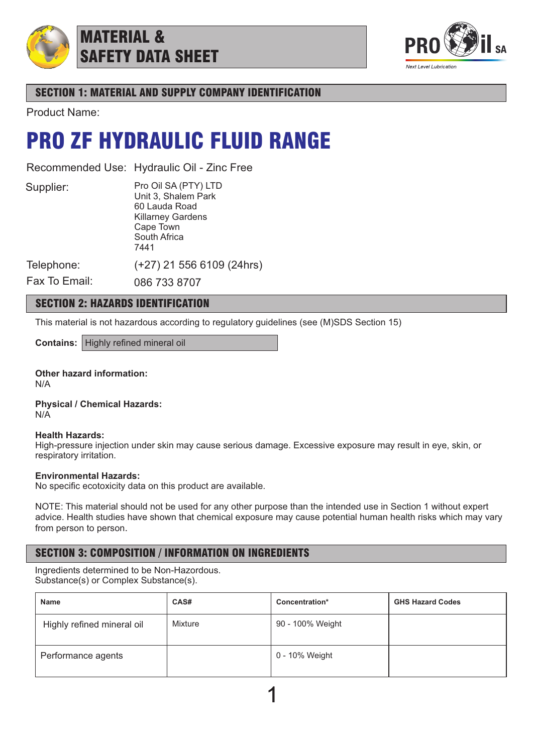

## MATERIAL & SAFETY DATA SHEET



## SECTION 1: MATERIAL AND SUPPLY COMPANY IDENTIFICATION

Product Name:

## PRO ZF HYDRAULIC FLUID RANGE

Recommended Use: Hydraulic Oil - Zinc Free

Supplier:

Pro Oil SA (PTY) LTD Unit 3, Shalem Park 60 Lauda Road Killarney Gardens Cape Town South Africa 7441 (+27) 21 556 6109 (24hrs)

Telephone: Fax To Email:

086 733 8707

## SECTION 2: HAZARDS IDENTIFICATION

This material is not hazardous according to regulatory guidelines (see (M)SDS Section 15)

**Contains:** Highly refined mineral oil

**Other hazard information:** N/A

**Physical / Chemical Hazards:** N/A

### **Health Hazards:**

High-pressure injection under skin may cause serious damage. Excessive exposure may result in eye, skin, or respiratory irritation.

### **Environmental Hazards:**

No specific ecotoxicity data on this product are available.

NOTE: This material should not be used for any other purpose than the intended use in Section 1 without expert advice. Health studies have shown that chemical exposure may cause potential human health risks which may vary from person to person.

## SECTION 3: COMPOSITION / INFORMATION ON INGREDIENTS

Ingredients determined to be Non-Hazordous. Substance(s) or Complex Substance(s).

| <b>Name</b>                | CAS#    | Concentration*   | <b>GHS Hazard Codes</b> |
|----------------------------|---------|------------------|-------------------------|
| Highly refined mineral oil | Mixture | 90 - 100% Weight |                         |
| Performance agents         |         | 0 - 10% Weight   |                         |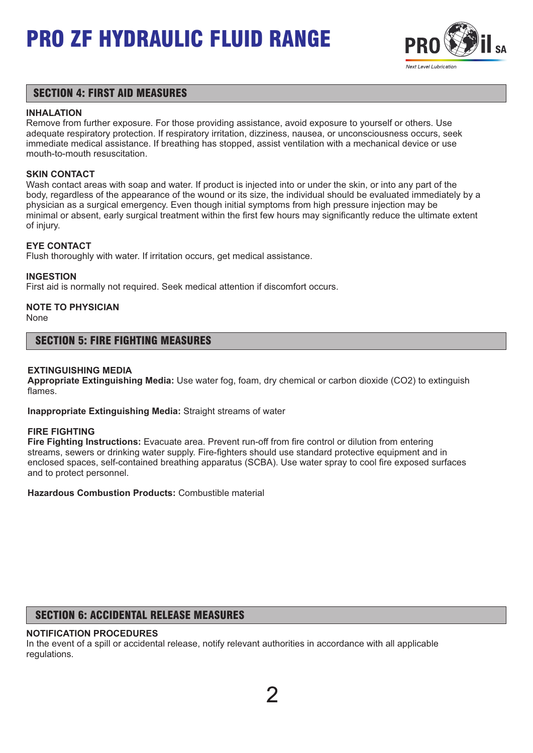

## SECTION 4: FIRST AID MEASURES

#### **INHALATION**

Remove from further exposure. For those providing assistance, avoid exposure to yourself or others. Use adequate respiratory protection. If respiratory irritation, dizziness, nausea, or unconsciousness occurs, seek immediate medical assistance. If breathing has stopped, assist ventilation with a mechanical device or use mouth-to-mouth resuscitation.

### **SKIN CONTACT**

Wash contact areas with soap and water. If product is injected into or under the skin, or into any part of the body, regardless of the appearance of the wound or its size, the individual should be evaluated immediately by a physician as a surgical emergency. Even though initial symptoms from high pressure injection may be minimal or absent, early surgical treatment within the first few hours may significantly reduce the ultimate extent of injury.

### **EYE CONTACT**

Flush thoroughly with water. If irritation occurs, get medical assistance.

### **INGESTION**

First aid is normally not required. Seek medical attention if discomfort occurs.

## **NOTE TO PHYSICIAN**

None

## SECTION 5: FIRE FIGHTING MEASURES

### **EXTINGUISHING MEDIA**

**Appropriate Extinguishing Media:** Use water fog, foam, dry chemical or carbon dioxide (CO2) to extinguish flames.

**Inappropriate Extinguishing Media:** Straight streams of water

#### **FIRE FIGHTING**

**Fire Fighting Instructions:** Evacuate area. Prevent run-off from fire control or dilution from entering streams, sewers or drinking water supply. Fire-fighters should use standard protective equipment and in enclosed spaces, self-contained breathing apparatus (SCBA). Use water spray to cool fire exposed surfaces and to protect personnel.

**Hazardous Combustion Products:** Combustible material

## SECTION 6: ACCIDENTAL RELEASE MEASURES

## **NOTIFICATION PROCEDURES**

In the event of a spill or accidental release, notify relevant authorities in accordance with all applicable regulations.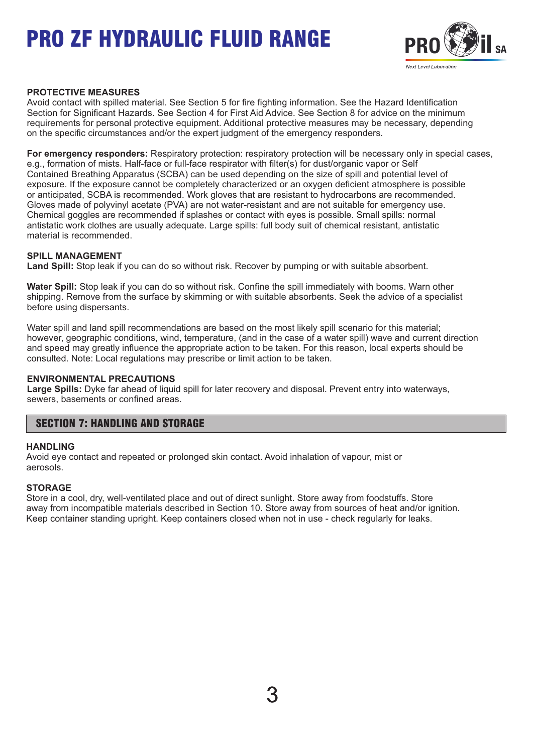

### **PROTECTIVE MEASURES**

Avoid contact with spilled material. See Section 5 for fire fighting information. See the Hazard Identification Section for Significant Hazards. See Section 4 for First Aid Advice. See Section 8 for advice on the minimum requirements for personal protective equipment. Additional protective measures may be necessary, depending on the specific circumstances and/or the expert judgment of the emergency responders.

**For emergency responders:** Respiratory protection: respiratory protection will be necessary only in special cases, e.g., formation of mists. Half-face or full-face respirator with filter(s) for dust/organic vapor or Self Contained Breathing Apparatus (SCBA) can be used depending on the size of spill and potential level of exposure. If the exposure cannot be completely characterized or an oxygen deficient atmosphere is possible or anticipated, SCBA is recommended. Work gloves that are resistant to hydrocarbons are recommended. Gloves made of polyvinyl acetate (PVA) are not water-resistant and are not suitable for emergency use. Chemical goggles are recommended if splashes or contact with eyes is possible. Small spills: normal antistatic work clothes are usually adequate. Large spills: full body suit of chemical resistant, antistatic material is recommended.

### **SPILL MANAGEMENT**

**Land Spill:** Stop leak if you can do so without risk. Recover by pumping or with suitable absorbent.

**Water Spill:** Stop leak if you can do so without risk. Confine the spill immediately with booms. Warn other shipping. Remove from the surface by skimming or with suitable absorbents. Seek the advice of a specialist before using dispersants.

Water spill and land spill recommendations are based on the most likely spill scenario for this material; however, geographic conditions, wind, temperature, (and in the case of a water spill) wave and current direction and speed may greatly influence the appropriate action to be taken. For this reason, local experts should be consulted. Note: Local regulations may prescribe or limit action to be taken.

#### **ENVIRONMENTAL PRECAUTIONS**

**Large Spills:** Dyke far ahead of liquid spill for later recovery and disposal. Prevent entry into waterways, sewers, basements or confined areas.

## SECTION 7: HANDLING AND STORAGE

#### **HANDLING**

Avoid eye contact and repeated or prolonged skin contact. Avoid inhalation of vapour, mist or aerosols.

#### **STORAGE**

Store in a cool, dry, well-ventilated place and out of direct sunlight. Store away from foodstuffs. Store away from incompatible materials described in Section 10. Store away from sources of heat and/or ignition. Keep container standing upright. Keep containers closed when not in use - check regularly for leaks.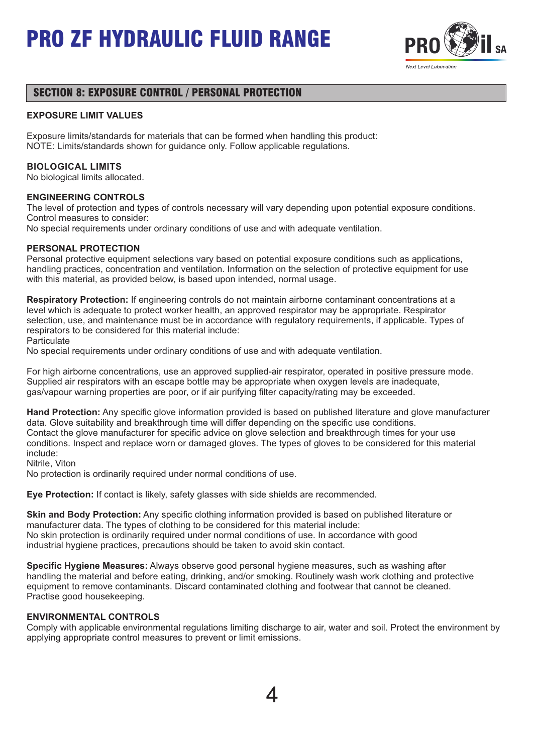

## SECTION 8: EXPOSURE CONTROL / PERSONAL PROTECTION

#### **EXPOSURE LIMIT VALUES**

Exposure limits/standards for materials that can be formed when handling this product: NOTE: Limits/standards shown for guidance only. Follow applicable regulations.

#### **BIOLOGICAL LIMITS**

No biological limits allocated.

#### **ENGINEERING CONTROLS**

The level of protection and types of controls necessary will vary depending upon potential exposure conditions. Control measures to consider:

No special requirements under ordinary conditions of use and with adequate ventilation.

#### **PERSONAL PROTECTION**

Personal protective equipment selections vary based on potential exposure conditions such as applications, handling practices, concentration and ventilation. Information on the selection of protective equipment for use with this material, as provided below, is based upon intended, normal usage.

**Respiratory Protection:** If engineering controls do not maintain airborne contaminant concentrations at a level which is adequate to protect worker health, an approved respirator may be appropriate. Respirator selection, use, and maintenance must be in accordance with regulatory requirements, if applicable. Types of respirators to be considered for this material include:

**Particulate** 

No special requirements under ordinary conditions of use and with adequate ventilation.

For high airborne concentrations, use an approved supplied-air respirator, operated in positive pressure mode. Supplied air respirators with an escape bottle may be appropriate when oxygen levels are inadequate, gas/vapour warning properties are poor, or if air purifying filter capacity/rating may be exceeded.

**Hand Protection:** Any specific glove information provided is based on published literature and glove manufacturer data. Glove suitability and breakthrough time will differ depending on the specific use conditions. Contact the glove manufacturer for specific advice on glove selection and breakthrough times for your use conditions. Inspect and replace worn or damaged gloves. The types of gloves to be considered for this material include:

Nitrile, Viton

No protection is ordinarily required under normal conditions of use.

**Eye Protection:** If contact is likely, safety glasses with side shields are recommended.

**Skin and Body Protection:** Any specific clothing information provided is based on published literature or manufacturer data. The types of clothing to be considered for this material include: No skin protection is ordinarily required under normal conditions of use. In accordance with good industrial hygiene practices, precautions should be taken to avoid skin contact.

**Specific Hygiene Measures:** Always observe good personal hygiene measures, such as washing after handling the material and before eating, drinking, and/or smoking. Routinely wash work clothing and protective equipment to remove contaminants. Discard contaminated clothing and footwear that cannot be cleaned. Practise good housekeeping.

#### **ENVIRONMENTAL CONTROLS**

Comply with applicable environmental regulations limiting discharge to air, water and soil. Protect the environment by applying appropriate control measures to prevent or limit emissions.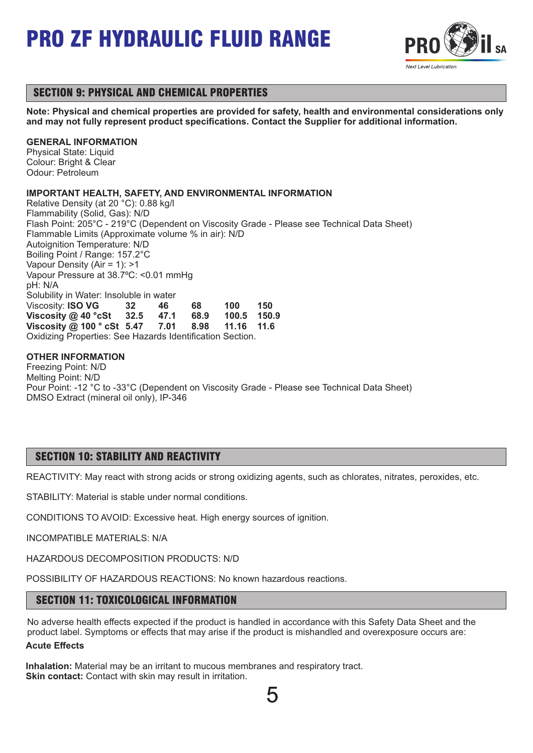

## SECTION 9: PHYSICAL AND CHEMICAL PROPERTIES

**Note: Physical and chemical properties are provided for safety, health and environmental considerations only and may not fully represent product specifications. Contact the Supplier for additional information.**

## **GENERAL INFORMATION**

Physical State: Liquid Colour: Bright & Clear Odour: Petroleum

## **IMPORTANT HEALTH, SAFETY, AND ENVIRONMENTAL INFORMATION**

Relative Density (at 20 °C): 0.88 kg/l Flammability (Solid, Gas): N/D Flash Point: 205°C - 219°C (Dependent on Viscosity Grade - Please see Technical Data Sheet) Flammable Limits (Approximate volume % in air): N/D Autoignition Temperature: N/D Boiling Point / Range: 157.2°C Vapour Density (Air = 1): >1 Vapour Pressure at 38.7ºC: <0.01 mmHg pH: N/A Solubility in Water: Insoluble in water Viscosity: **ISO VG 32 46 68 100 150 Viscosity @ 40 °cSt 32.5 47.1 68.9 100.5 150.9 Viscosity @ 100 ° cSt 5.47** Oxidizing Properties: See Hazards Identification Section.

## **OTHER INFORMATION**

Freezing Point: N/D Melting Point: N/D Pour Point: -12 °C to -33°C (Dependent on Viscosity Grade - Please see Technical Data Sheet) DMSO Extract (mineral oil only), IP-346

## SECTION 10: STABILITY AND REACTIVITY

REACTIVITY: May react with strong acids or strong oxidizing agents, such as chlorates, nitrates, peroxides, etc.

STABILITY: Material is stable under normal conditions.

CONDITIONS TO AVOID: Excessive heat. High energy sources of ignition.

INCOMPATIBLE MATERIALS: N/A

HAZARDOUS DECOMPOSITION PRODUCTS: N/D

POSSIBILITY OF HAZARDOUS REACTIONS: No known hazardous reactions.

## SECTION 11: TOXICOLOGICAL INFORMATION

No adverse health effects expected if the product is handled in accordance with this Safety Data Sheet and the product label. Symptoms or effects that may arise if the product is mishandled and overexposure occurs are: **Acute Effects**

**Inhalation:** Material may be an irritant to mucous membranes and respiratory tract. **Skin contact:** Contact with skin may result in irritation.

5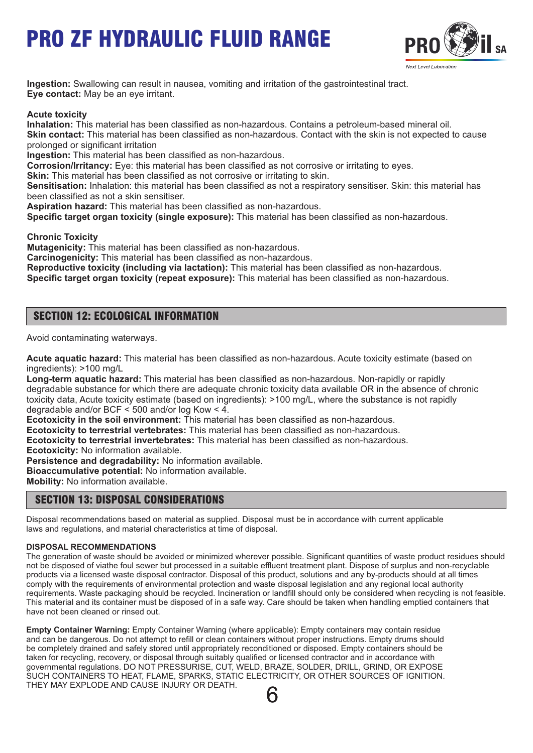

**Ingestion:** Swallowing can result in nausea, vomiting and irritation of the gastrointestinal tract. **Eye contact:** May be an eye irritant.

**Acute toxicity**

**Inhalation:** This material has been classified as non-hazardous. Contains a petroleum-based mineral oil. **Skin contact:** This material has been classified as non-hazardous. Contact with the skin is not expected to cause prolonged or significant irritation

**Ingestion:** This material has been classified as non-hazardous.

**Corrosion/Irritancy:** Eye: this material has been classified as not corrosive or irritating to eyes.

**Skin:** This material has been classified as not corrosive or irritating to skin.

**Sensitisation:** Inhalation: this material has been classified as not a respiratory sensitiser. Skin: this material has been classified as not a skin sensitiser.

**Aspiration hazard:** This material has been classified as non-hazardous.

**Specific target organ toxicity (single exposure):** This material has been classified as non-hazardous.

**Chronic Toxicity**

**Mutagenicity:** This material has been classified as non-hazardous.

**Carcinogenicity:** This material has been classified as non-hazardous.

**Reproductive toxicity (including via lactation):** This material has been classified as non-hazardous.

**Specific target organ toxicity (repeat exposure):** This material has been classified as non-hazardous.

## SECTION 12: ECOLOGICAL INFORMATION

Avoid contaminating waterways.

**Acute aquatic hazard:** This material has been classified as non-hazardous. Acute toxicity estimate (based on ingredients): >100 mg/L

**Long-term aquatic hazard:** This material has been classified as non-hazardous. Non-rapidly or rapidly degradable substance for which there are adequate chronic toxicity data available OR in the absence of chronic toxicity data, Acute toxicity estimate (based on ingredients): >100 mg/L, where the substance is not rapidly degradable and/or BCF < 500 and/or log Kow < 4.

**Ecotoxicity in the soil environment:** This material has been classified as non-hazardous.

**Ecotoxicity to terrestrial vertebrates:** This material has been classified as non-hazardous.

**Ecotoxicity to terrestrial invertebrates:** This material has been classified as non-hazardous.

**Ecotoxicity:** No information available.

**Persistence and degradability:** No information available.

**Bioaccumulative potential:** No information available.

**Mobility:** No information available.

## SECTION 13: DISPOSAL CONSIDERATIONS

Disposal recommendations based on material as supplied. Disposal must be in accordance with current applicable laws and regulations, and material characteristics at time of disposal.

### **DISPOSAL RECOMMENDATIONS**

The generation of waste should be avoided or minimized wherever possible. Significant quantities of waste product residues should not be disposed of viathe foul sewer but processed in a suitable effluent treatment plant. Dispose of surplus and non-recyclable products via a licensed waste disposal contractor. Disposal of this product, solutions and any by-products should at all times comply with the requirements of environmental protection and waste disposal legislation and any regional local authority requirements. Waste packaging should be recycled. Incineration or landfill should only be considered when recycling is not feasible. This material and its container must be disposed of in a safe way. Care should be taken when handling emptied containers that have not been cleaned or rinsed out.

**Empty Container Warning:** Empty Container Warning (where applicable): Empty containers may contain residue and can be dangerous. Do not attempt to refill or clean containers without proper instructions. Empty drums should be completely drained and safely stored until appropriately reconditioned or disposed. Empty containers should be taken for recycling, recovery, or disposal through suitably qualified or licensed contractor and in accordance with governmental regulations. DO NOT PRESSURISE, CUT, WELD, BRAZE, SOLDER, DRILL, GRIND, OR EXPOSE SUCH CONTAINERS TO HEAT, FLAME, SPARKS, STATIC ELECTRICITY, OR OTHER SOURCES OF IGNITION. THEY MAY EXPLODE AND CAUSE INJURY OR DEATH.